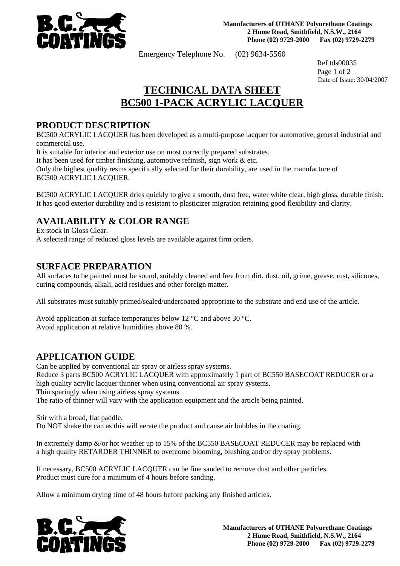

Emergency Telephone No. (02) 9634-5560

 Ref tds00035 Page 1 of 2 Date of Issue: 30/04/2007

# **TECHNICAL DATA SHEET BC500 1-PACK ACRYLIC LACQUER**

**PRODUCT DESCRIPTION**<br>BC500 ACRYLIC LACQUER has been developed as a multi-purpose lacquer for automotive, general industrial and commercial use.

It is suitable for interior and exterior use on most correctly prepared substrates.

It has been used for timber finishing, automotive refinish, sign work & etc.

Only the highest quality resins specifically selected for their durability, are used in the manufacture of BC500 ACRYLIC LACQUER.

BC500 ACRYLIC LACQUER dries quickly to give a smooth, dust free, water white clear, high gloss, durable finish. It has good exterior durability and is resistant to plasticizer migration retaining good flexibility and clarity.

# **AVAILABILITY & COLOR RANGE** Ex stock in Gloss Clear.

A selected range of reduced gloss levels are available against firm orders.

**SURFACE PREPARATION**<br>All surfaces to be painted must be sound, suitably cleaned and free from dirt, dust, oil, grime, grease, rust, silicones, curing compounds, alkali, acid residues and other foreign matter.

All substrates must suitably primed/sealed/undercoated appropriate to the substrate and end use of the article.

Avoid application at surface temperatures below 12 °C and above 30 °C. Avoid application at relative humidities above 80 %.

## **APPLICATION GUIDE**

Can be applied by conventional air spray or airless spray systems.

Reduce 3 parts BC500 ACRYLIC LACQUER with approximately 1 part of BC550 BASECOAT REDUCER or a high quality acrylic lacquer thinner when using conventional air spray systems.

Thin sparingly when using airless spray systems.

The ratio of thinner will vary with the application equipment and the article being painted.

Stir with a broad, flat paddle.

Do NOT shake the can as this will aerate the product and cause air bubbles in the coating.

In extremely damp &/or hot weather up to 15% of the BC550 BASECOAT REDUCER may be replaced with a high quality RETARDER THINNER to overcome blooming, blushing and/or dry spray problems.

If necessary, BC500 ACRYLIC LACQUER can be fine sanded to remove dust and other particles. Product must cure for a minimum of 4 hours before sanding.

Allow a minimum drying time of 48 hours before packing any finished articles.